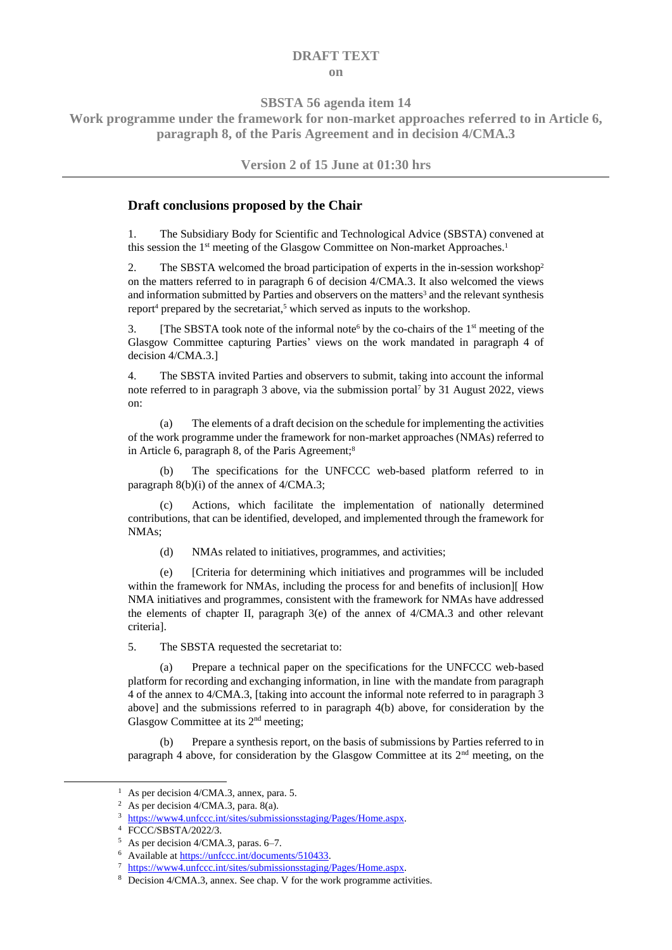## **DRAFT TEXT on**

**SBSTA 56 agenda item 14**

**Work programme under the framework for non-market approaches referred to in Article 6, paragraph 8, of the Paris Agreement and in decision 4/CMA.3**

**Version 2 of 15 June at 01:30 hrs**

## **Draft conclusions proposed by the Chair**

1. The Subsidiary Body for Scientific and Technological Advice (SBSTA) convened at this session the 1<sup>st</sup> meeting of the Glasgow Committee on Non-market Approaches.<sup>1</sup>

2. The SBSTA welcomed the broad participation of experts in the in-session workshop<sup>2</sup> on the matters referred to in paragraph 6 of decision 4/CMA.3. It also welcomed the views and information submitted by Parties and observers on the matters<sup>3</sup> and the relevant synthesis report<sup>4</sup> prepared by the secretariat,<sup>5</sup> which served as inputs to the workshop.

3. [The SBSTA took note of the informal note<sup>6</sup> by the co-chairs of the 1<sup>st</sup> meeting of the Glasgow Committee capturing Parties' views on the work mandated in paragraph 4 of decision 4/CMA.3.]

4. The SBSTA invited Parties and observers to submit, taking into account the informal note referred to in paragraph 3 above, via the submission portal<sup>7</sup> by 31 August 2022, views on:

(a) The elements of a draft decision on the schedule for implementing the activities of the work programme under the framework for non-market approaches (NMAs) referred to in Article 6, paragraph 8, of the Paris Agreement;<sup>8</sup>

(b) The specifications for the UNFCCC web-based platform referred to in paragraph 8(b)(i) of the annex of 4/CMA.3;

Actions, which facilitate the implementation of nationally determined contributions, that can be identified, developed, and implemented through the framework for NMAs;

(d) NMAs related to initiatives, programmes, and activities;

(e) [Criteria for determining which initiatives and programmes will be included within the framework for NMAs, including the process for and benefits of inclusion][ How NMA initiatives and programmes, consistent with the framework for NMAs have addressed the elements of chapter II, paragraph 3(e) of the annex of 4/CMA.3 and other relevant criteria].

5. The SBSTA requested the secretariat to:

(a) Prepare a technical paper on the specifications for the UNFCCC web-based platform for recording and exchanging information, in line with the mandate from paragraph 4 of the annex to 4/CMA.3, [taking into account the informal note referred to in paragraph 3 above] and the submissions referred to in paragraph 4(b) above, for consideration by the Glasgow Committee at its  $2<sup>nd</sup>$  meeting;

(b) Prepare a synthesis report, on the basis of submissions by Parties referred to in paragraph 4 above, for consideration by the Glasgow Committee at its  $2<sup>nd</sup>$  meeting, on the

<sup>&</sup>lt;sup>1</sup> As per decision 4/CMA.3, annex, para. 5.

<sup>&</sup>lt;sup>2</sup> As per decision  $4/CMA.3$ , para. 8(a).

<sup>3</sup> [https://www4.unfccc.int/sites/submissionsstaging/Pages/Home.aspx.](https://www4.unfccc.int/sites/submissionsstaging/Pages/Home.aspx)

<sup>4</sup> FCCC/SBSTA/2022/3.

<sup>5</sup> As per decision 4/CMA.3, paras. 6–7.

<sup>6</sup> Available a[t https://unfccc.int/documents/510433.](https://unfccc.int/documents/510433)

<sup>7</sup> [https://www4.unfccc.int/sites/submissionsstaging/Pages/Home.aspx.](https://www4.unfccc.int/sites/submissionsstaging/Pages/Home.aspx)

<sup>8</sup> Decision 4/CMA.3, annex. See chap. V for the work programme activities.